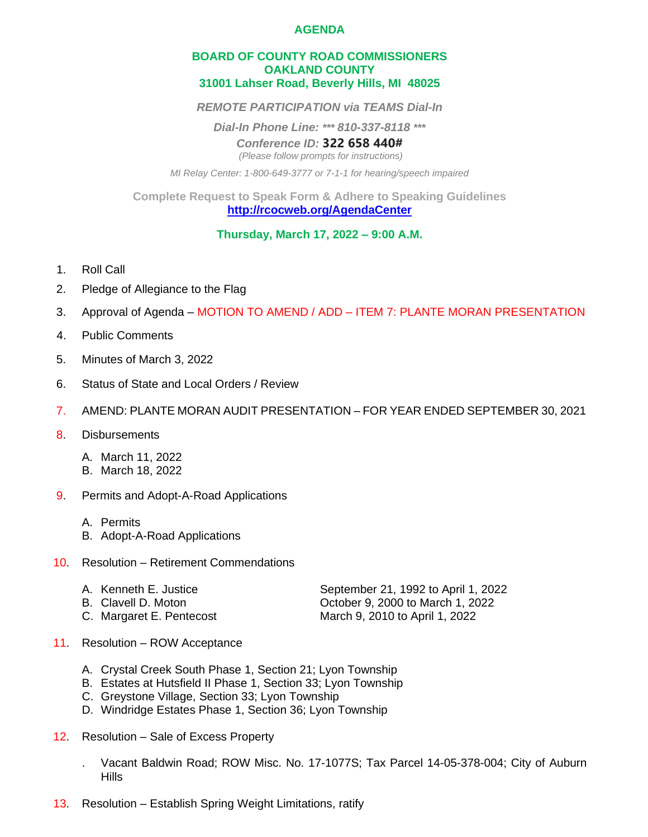## **AGENDA**

## **BOARD OF COUNTY ROAD COMMISSIONERS OAKLAND COUNTY 31001 Lahser Road, Beverly Hills, MI 48025**

*REMOTE PARTICIPATION via TEAMS Dial-In*

*Dial-In Phone Line: \*\*\* 810-337-8118 \*\*\**

*Conference ID:* **322 658 440#**

*(Please follow prompts for instructions)*

*MI Relay Center: 1-800-649-3777 or 7-1-1 for hearing/speech impaired*

**Complete Request to Speak Form & Adhere to Speaking Guidelines <http://rcocweb.org/AgendaCenter>**

**Thursday, March 17, 2022 – 9:00 A.M.**

- 1. Roll Call
- 2. Pledge of Allegiance to the Flag
- 3. Approval of Agenda MOTION TO AMEND / ADD ITEM 7: PLANTE MORAN PRESENTATION
- 4. Public Comments
- 5. Minutes of March 3, 2022
- 6. Status of State and Local Orders / Review
- 7. AMEND: PLANTE MORAN AUDIT PRESENTATION FOR YEAR ENDED SEPTEMBER 30, 2021
- 8. Disbursements

A. March 11, 2022 B. March 18, 2022

- 9. Permits and Adopt-A-Road Applications
	- A. Permits
	- B. Adopt-A-Road Applications
- 10. Resolution Retirement Commendations

| A. Kenneth E. Justice    | September 21, 1992 to April 1, 2022 |
|--------------------------|-------------------------------------|
| B. Clavell D. Moton      | October 9, 2000 to March 1, 2022    |
| C. Margaret E. Pentecost | March 9, 2010 to April 1, 2022      |

- 11. Resolution ROW Acceptance
	- A. Crystal Creek South Phase 1, Section 21; Lyon Township
	- B. Estates at Hutsfield II Phase 1, Section 33; Lyon Township
	- C. Greystone Village, Section 33; Lyon Township
	- D. Windridge Estates Phase 1, Section 36; Lyon Township
- 12. Resolution Sale of Excess Property
	- . Vacant Baldwin Road; ROW Misc. No. 17-1077S; Tax Parcel 14-05-378-004; City of Auburn **Hills**
- 13. Resolution Establish Spring Weight Limitations, ratify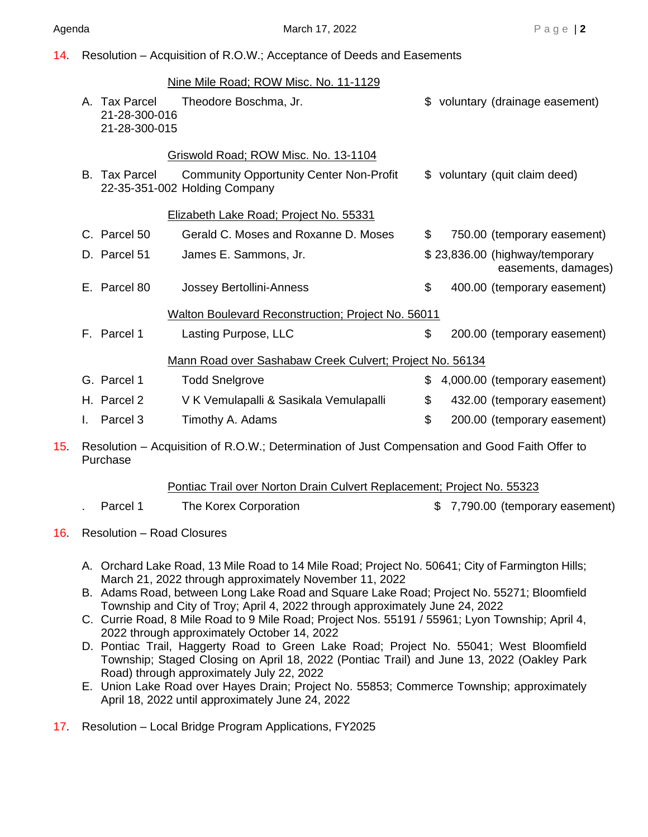14. Resolution – Acquisition of R.O.W.; Acceptance of Deeds and Easements

|                 |    |                                                 | Nine Mile Road; ROW Misc. No. 11-1129                                                          |    |                                                       |
|-----------------|----|-------------------------------------------------|------------------------------------------------------------------------------------------------|----|-------------------------------------------------------|
|                 |    | A. Tax Parcel<br>21-28-300-016<br>21-28-300-015 | Theodore Boschma, Jr.                                                                          |    | \$ voluntary (drainage easement)                      |
|                 |    |                                                 | Griswold Road; ROW Misc. No. 13-1104                                                           |    |                                                       |
|                 |    | B. Tax Parcel                                   | <b>Community Opportunity Center Non-Profit</b><br>22-35-351-002 Holding Company                |    | \$ voluntary (quit claim deed)                        |
|                 |    |                                                 | Elizabeth Lake Road; Project No. 55331                                                         |    |                                                       |
|                 |    | C. Parcel 50                                    | Gerald C. Moses and Roxanne D. Moses                                                           | \$ | 750.00 (temporary easement)                           |
|                 |    | D. Parcel 51                                    | James E. Sammons, Jr.                                                                          |    | \$23,836.00 (highway/temporary<br>easements, damages) |
|                 |    | E. Parcel 80                                    | Jossey Bertollini-Anness                                                                       | \$ | 400.00 (temporary easement)                           |
|                 |    |                                                 | Walton Boulevard Reconstruction; Project No. 56011                                             |    |                                                       |
|                 |    | F. Parcel 1                                     | Lasting Purpose, LLC                                                                           | \$ | 200.00 (temporary easement)                           |
|                 |    |                                                 | Mann Road over Sashabaw Creek Culvert; Project No. 56134                                       |    |                                                       |
|                 |    | G. Parcel 1                                     | <b>Todd Snelgrove</b>                                                                          | \$ | 4,000.00 (temporary easement)                         |
|                 |    | H. Parcel 2                                     | V K Vemulapalli & Sasikala Vemulapalli                                                         | \$ | 432.00 (temporary easement)                           |
|                 | L. | Parcel <sub>3</sub>                             | Timothy A. Adams                                                                               | \$ | 200.00 (temporary easement)                           |
| 15 <sub>1</sub> |    |                                                 | Resolution – Acquisition of R.O.W.; Determination of Just Compensation and Good Faith Offer to |    |                                                       |

Purchase

Pontiac Trail over Norton Drain Culvert Replacement; Project No. 55323

| The Korex Corporation<br>Parcel 1 | \$7,790.00 (temporary easement) |
|-----------------------------------|---------------------------------|
|-----------------------------------|---------------------------------|

16. Resolution – Road Closures

- A. Orchard Lake Road, 13 Mile Road to 14 Mile Road; Project No. 50641; City of Farmington Hills; March 21, 2022 through approximately November 11, 2022
- B. Adams Road, between Long Lake Road and Square Lake Road; Project No. 55271; Bloomfield Township and City of Troy; April 4, 2022 through approximately June 24, 2022
- C. Currie Road, 8 Mile Road to 9 Mile Road; Project Nos. 55191 / 55961; Lyon Township; April 4, 2022 through approximately October 14, 2022
- D. Pontiac Trail, Haggerty Road to Green Lake Road; Project No. 55041; West Bloomfield Township; Staged Closing on April 18, 2022 (Pontiac Trail) and June 13, 2022 (Oakley Park Road) through approximately July 22, 2022
- E. Union Lake Road over Hayes Drain; Project No. 55853; Commerce Township; approximately April 18, 2022 until approximately June 24, 2022

17. Resolution – Local Bridge Program Applications, FY2025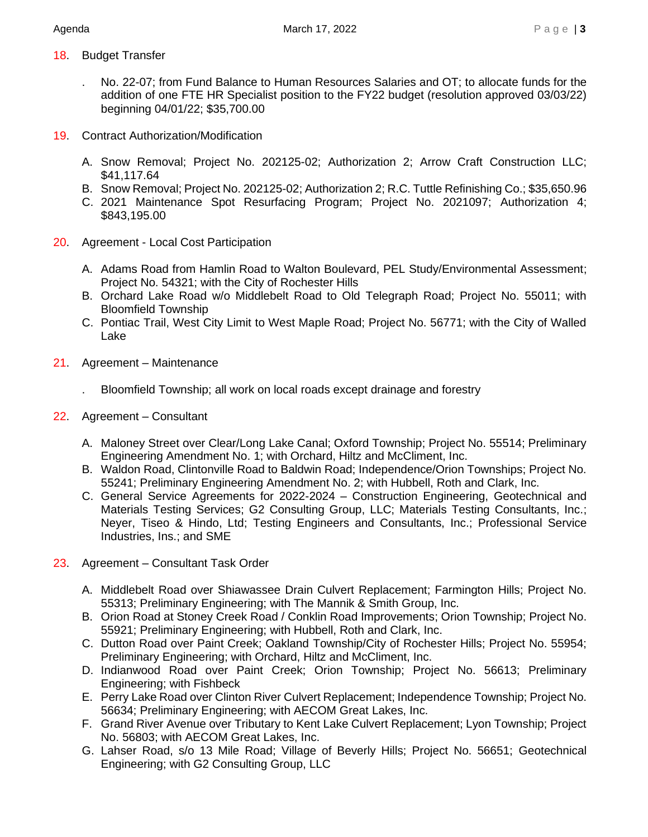- 18. Budget Transfer
	- . No. 22-07; from Fund Balance to Human Resources Salaries and OT; to allocate funds for the addition of one FTE HR Specialist position to the FY22 budget (resolution approved 03/03/22) beginning 04/01/22; \$35,700.00
- 19. Contract Authorization/Modification
	- A. Snow Removal; Project No. 202125-02; Authorization 2; Arrow Craft Construction LLC; \$41,117.64
	- B. Snow Removal; Project No. 202125-02; Authorization 2; R.C. Tuttle Refinishing Co.; \$35,650.96
	- C. 2021 Maintenance Spot Resurfacing Program; Project No. 2021097; Authorization 4; \$843,195.00
- 20. Agreement Local Cost Participation
	- A. Adams Road from Hamlin Road to Walton Boulevard, PEL Study/Environmental Assessment; Project No. 54321; with the City of Rochester Hills
	- B. Orchard Lake Road w/o Middlebelt Road to Old Telegraph Road; Project No. 55011; with Bloomfield Township
	- C. Pontiac Trail, West City Limit to West Maple Road; Project No. 56771; with the City of Walled Lake
- 21. Agreement Maintenance

. Bloomfield Township; all work on local roads except drainage and forestry

- 22. Agreement Consultant
	- A. Maloney Street over Clear/Long Lake Canal; Oxford Township; Project No. 55514; Preliminary Engineering Amendment No. 1; with Orchard, Hiltz and McCliment, Inc.
	- B. Waldon Road, Clintonville Road to Baldwin Road; Independence/Orion Townships; Project No. 55241; Preliminary Engineering Amendment No. 2; with Hubbell, Roth and Clark, Inc.
	- C. General Service Agreements for 2022-2024 Construction Engineering, Geotechnical and Materials Testing Services; G2 Consulting Group, LLC; Materials Testing Consultants, Inc.; Neyer, Tiseo & Hindo, Ltd; Testing Engineers and Consultants, Inc.; Professional Service Industries, Ins.; and SME
- 23. Agreement Consultant Task Order
	- A. Middlebelt Road over Shiawassee Drain Culvert Replacement; Farmington Hills; Project No. 55313; Preliminary Engineering; with The Mannik & Smith Group, Inc.
	- B. Orion Road at Stoney Creek Road / Conklin Road Improvements; Orion Township; Project No. 55921; Preliminary Engineering; with Hubbell, Roth and Clark, Inc.
	- C. Dutton Road over Paint Creek; Oakland Township/City of Rochester Hills; Project No. 55954; Preliminary Engineering; with Orchard, Hiltz and McCliment, Inc.
	- D. Indianwood Road over Paint Creek; Orion Township; Project No. 56613; Preliminary Engineering; with Fishbeck
	- E. Perry Lake Road over Clinton River Culvert Replacement; Independence Township; Project No. 56634; Preliminary Engineering; with AECOM Great Lakes, Inc.
	- F. Grand River Avenue over Tributary to Kent Lake Culvert Replacement; Lyon Township; Project No. 56803; with AECOM Great Lakes, Inc.
	- G. Lahser Road, s/o 13 Mile Road; Village of Beverly Hills; Project No. 56651; Geotechnical Engineering; with G2 Consulting Group, LLC